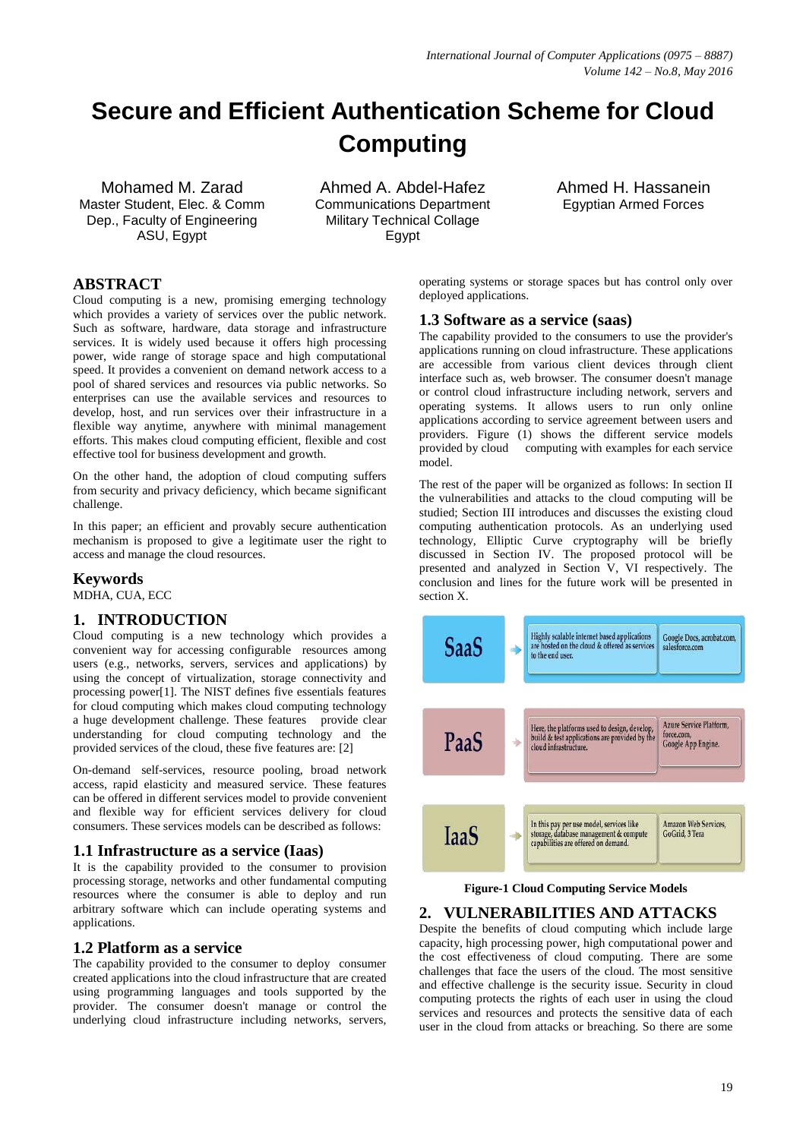# **Secure and Efficient Authentication Scheme for Cloud Computing**

Mohamed M. Zarad Master Student, Elec. & Comm Dep., Faculty of Engineering ASU, Egypt

Ahmed A. Abdel-Hafez Communications Department Military Technical Collage Egypt

Ahmed H. Hassanein Egyptian Armed Forces

# **ABSTRACT**

Cloud computing is a new, promising emerging technology which provides a variety of services over the public network. Such as software, hardware, data storage and infrastructure services. It is widely used because it offers high processing power, wide range of storage space and high computational speed. It provides a convenient on demand network access to a pool of shared services and resources via public networks. So enterprises can use the available services and resources to develop, host, and run services over their infrastructure in a flexible way anytime, anywhere with minimal management efforts. This makes cloud computing efficient, flexible and cost effective tool for business development and growth.

On the other hand, the adoption of cloud computing suffers from security and privacy deficiency, which became significant challenge.

In this paper; an efficient and provably secure authentication mechanism is proposed to give a legitimate user the right to access and manage the cloud resources.

## **Keywords**

MDHA, CUA, ECC

## **1. INTRODUCTION**

Cloud computing is a new technology which provides a convenient way for accessing configurable resources among users (e.g., networks, servers, services and applications) by using the concept of virtualization, storage connectivity and processing power[1]. The NIST defines five essentials features for cloud computing which makes cloud computing technology a huge development challenge. These features provide clear understanding for cloud computing technology and the provided services of the cloud, these five features are: [2]

On-demand self-services, resource pooling, broad network access, rapid elasticity and measured service. These features can be offered in different services model to provide convenient and flexible way for efficient services delivery for cloud consumers. These services models can be described as follows:

#### **1.1 Infrastructure as a service (Iaas)**

It is the capability provided to the consumer to provision processing storage, networks and other fundamental computing resources where the consumer is able to deploy and run arbitrary software which can include operating systems and applications.

## **1.2 Platform as a service**

The capability provided to the consumer to deploy consumer created applications into the cloud infrastructure that are created using programming languages and tools supported by the provider. The consumer doesn't manage or control the underlying cloud infrastructure including networks, servers,

operating systems or storage spaces but has control only over deployed applications.

#### **1.3 Software as a service (saas)**

The capability provided to the consumers to use the provider's applications running on cloud infrastructure. These applications are accessible from various client devices through client interface such as, web browser. The consumer doesn't manage or control cloud infrastructure including network, servers and operating systems. It allows users to run only online applications according to service agreement between users and providers. Figure (1) shows the different service models provided by cloud computing with examples for each service model.

The rest of the paper will be organized as follows: In section II the vulnerabilities and attacks to the cloud computing will be studied; Section III introduces and discusses the existing cloud computing authentication protocols. As an underlying used technology, Elliptic Curve cryptography will be briefly discussed in Section IV. The proposed protocol will be presented and analyzed in Section V, VI respectively. The conclusion and lines for the future work will be presented in section X.



**Figure-1 Cloud Computing Service Models**

## **2. VULNERABILITIES AND ATTACKS**

Despite the benefits of cloud computing which include large capacity, high processing power, high computational power and the cost effectiveness of cloud computing. There are some challenges that face the users of the cloud. The most sensitive and effective challenge is the security issue. Security in cloud computing protects the rights of each user in using the cloud services and resources and protects the sensitive data of each user in the cloud from attacks or breaching. So there are some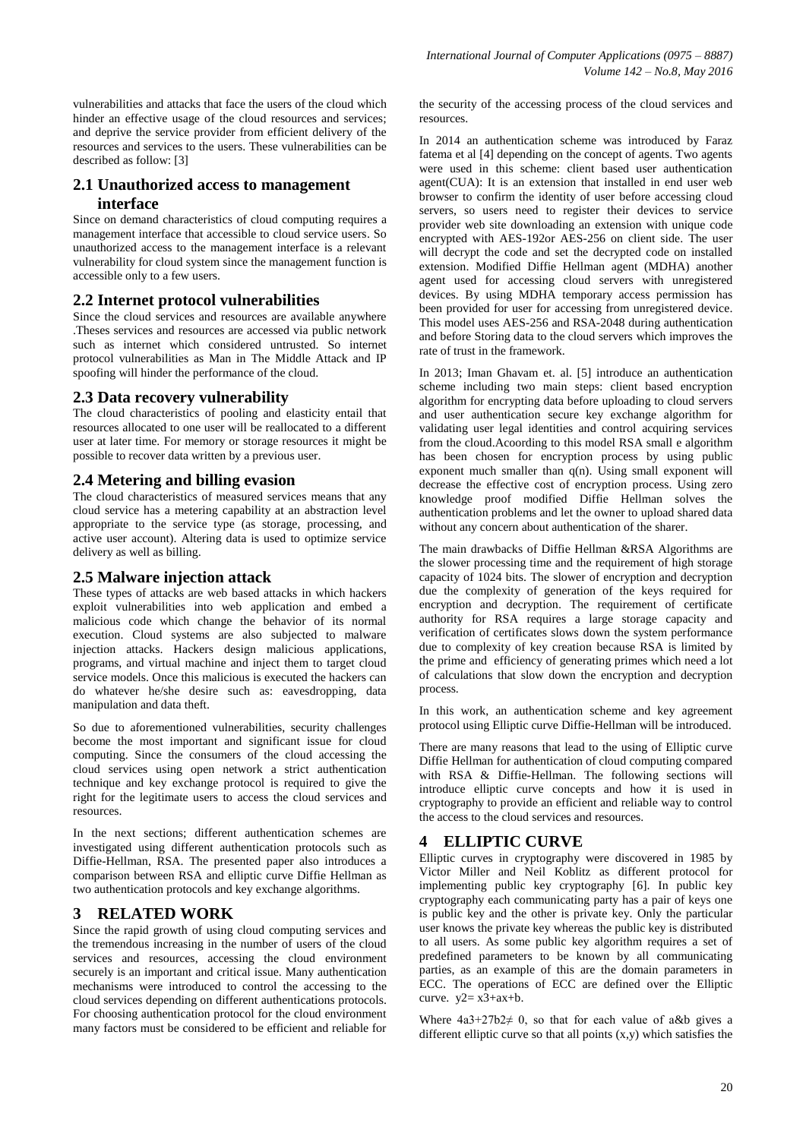vulnerabilities and attacks that face the users of the cloud which hinder an effective usage of the cloud resources and services; and deprive the service provider from efficient delivery of the resources and services to the users. These vulnerabilities can be described as follow: [3]

# **2.1 Unauthorized access to management interface**

Since on demand characteristics of cloud computing requires a management interface that accessible to cloud service users. So unauthorized access to the management interface is a relevant vulnerability for cloud system since the management function is accessible only to a few users.

## **2.2 Internet protocol vulnerabilities**

Since the cloud services and resources are available anywhere .Theses services and resources are accessed via public network such as internet which considered untrusted. So internet protocol vulnerabilities as Man in The Middle Attack and IP spoofing will hinder the performance of the cloud.

## **2.3 Data recovery vulnerability**

The cloud characteristics of pooling and elasticity entail that resources allocated to one user will be reallocated to a different user at later time. For memory or storage resources it might be possible to recover data written by a previous user.

## **2.4 Metering and billing evasion**

The cloud characteristics of measured services means that any cloud service has a metering capability at an abstraction level appropriate to the service type (as storage, processing, and active user account). Altering data is used to optimize service delivery as well as billing.

## **2.5 Malware injection attack**

These types of attacks are web based attacks in which hackers exploit vulnerabilities into web application and embed a malicious code which change the behavior of its normal execution. Cloud systems are also subjected to malware injection attacks. Hackers design malicious applications, programs, and virtual machine and inject them to target cloud service models. Once this malicious is executed the hackers can do whatever he/she desire such as: eavesdropping, data manipulation and data theft.

So due to aforementioned vulnerabilities, security challenges become the most important and significant issue for cloud computing. Since the consumers of the cloud accessing the cloud services using open network a strict authentication technique and key exchange protocol is required to give the right for the legitimate users to access the cloud services and resources.

In the next sections; different authentication schemes are investigated using different authentication protocols such as Diffie-Hellman, RSA. The presented paper also introduces a comparison between RSA and elliptic curve Diffie Hellman as two authentication protocols and key exchange algorithms.

## **3 RELATED WORK**

Since the rapid growth of using cloud computing services and the tremendous increasing in the number of users of the cloud services and resources, accessing the cloud environment securely is an important and critical issue. Many authentication mechanisms were introduced to control the accessing to the cloud services depending on different authentications protocols. For choosing authentication protocol for the cloud environment many factors must be considered to be efficient and reliable for the security of the accessing process of the cloud services and resources.

In 2014 an authentication scheme was introduced by Faraz fatema et al [4] depending on the concept of agents. Two agents were used in this scheme: client based user authentication agent(CUA): It is an extension that installed in end user web browser to confirm the identity of user before accessing cloud servers, so users need to register their devices to service provider web site downloading an extension with unique code encrypted with AES-192or AES-256 on client side. The user will decrypt the code and set the decrypted code on installed extension. Modified Diffie Hellman agent (MDHA) another agent used for accessing cloud servers with unregistered devices. By using MDHA temporary access permission has been provided for user for accessing from unregistered device. This model uses AES-256 and RSA-2048 during authentication and before Storing data to the cloud servers which improves the rate of trust in the framework.

In 2013; Iman Ghavam et. al. [5] introduce an authentication scheme including two main steps: client based encryption algorithm for encrypting data before uploading to cloud servers and user authentication secure key exchange algorithm for validating user legal identities and control acquiring services from the cloud.Acoording to this model RSA small e algorithm has been chosen for encryption process by using public exponent much smaller than  $q(n)$ . Using small exponent will decrease the effective cost of encryption process. Using zero knowledge proof modified Diffie Hellman solves the authentication problems and let the owner to upload shared data without any concern about authentication of the sharer.

The main drawbacks of Diffie Hellman &RSA Algorithms are the slower processing time and the requirement of high storage capacity of 1024 bits. The slower of encryption and decryption due the complexity of generation of the keys required for encryption and decryption. The requirement of certificate authority for RSA requires a large storage capacity and verification of certificates slows down the system performance due to complexity of key creation because RSA is limited by the prime and efficiency of generating primes which need a lot of calculations that slow down the encryption and decryption process.

In this work, an authentication scheme and key agreement protocol using Elliptic curve Diffie-Hellman will be introduced.

There are many reasons that lead to the using of Elliptic curve Diffie Hellman for authentication of cloud computing compared with RSA & Diffie-Hellman. The following sections will introduce elliptic curve concepts and how it is used in cryptography to provide an efficient and reliable way to control the access to the cloud services and resources.

## **4 ELLIPTIC CURVE**

Elliptic curves in cryptography were discovered in 1985 by Victor Miller and Neil Koblitz as different protocol for implementing public key cryptography [6]. In public key cryptography each communicating party has a pair of keys one is public key and the other is private key. Only the particular user knows the private key whereas the public key is distributed to all users. As some public key algorithm requires a set of predefined parameters to be known by all communicating parties, as an example of this are the domain parameters in ECC. The operations of ECC are defined over the Elliptic curve.  $y2 = x3 + ax + b$ .

Where  $4a3+27b2 \neq 0$ , so that for each value of a&b gives a different elliptic curve so that all points  $(x,y)$  which satisfies the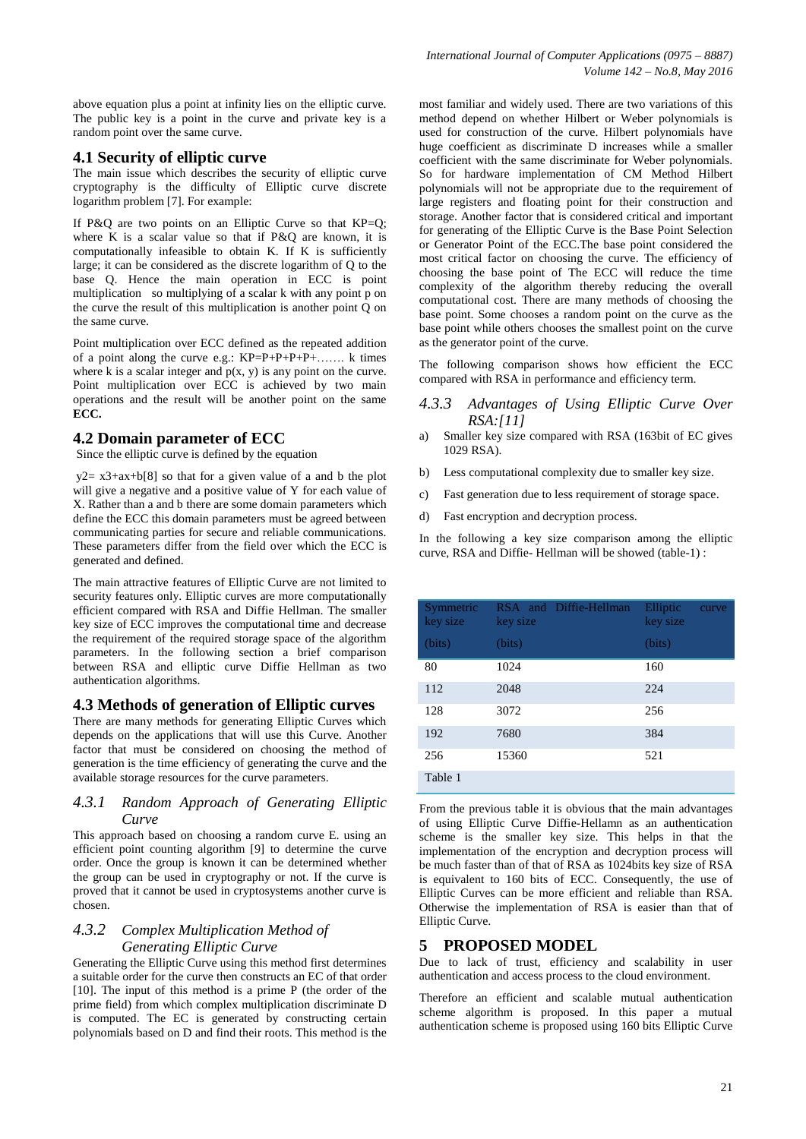above equation plus a point at infinity lies on the elliptic curve. The public key is a point in the curve and private key is a random point over the same curve.

### **4.1 Security of elliptic curve**

The main issue which describes the security of elliptic curve cryptography is the difficulty of Elliptic curve discrete logarithm problem [7]. For example:

If P&Q are two points on an Elliptic Curve so that KP=Q; where K is a scalar value so that if P&Q are known, it is computationally infeasible to obtain K. If K is sufficiently large; it can be considered as the discrete logarithm of Q to the base Q. Hence the main operation in ECC is point multiplication so multiplying of a scalar k with any point p on the curve the result of this multiplication is another point  $\tilde{Q}$  on the same curve.

Point multiplication over ECC defined as the repeated addition of a point along the curve e.g.: KP=P+P+P+P+……. k times where k is a scalar integer and  $p(x, y)$  is any point on the curve. Point multiplication over ECC is achieved by two main operations and the result will be another point on the same **ECC.** 

### **4.2 Domain parameter of ECC**

Since the elliptic curve is defined by the equation

 $y2= x3+ax+b[8]$  so that for a given value of a and b the plot will give a negative and a positive value of Y for each value of X. Rather than a and b there are some domain parameters which define the ECC this domain parameters must be agreed between communicating parties for secure and reliable communications. These parameters differ from the field over which the ECC is generated and defined.

The main attractive features of Elliptic Curve are not limited to security features only. Elliptic curves are more computationally efficient compared with RSA and Diffie Hellman. The smaller key size of ECC improves the computational time and decrease the requirement of the required storage space of the algorithm parameters. In the following section a brief comparison between RSA and elliptic curve Diffie Hellman as two authentication algorithms.

#### **4.3 Methods of generation of Elliptic curves**

There are many methods for generating Elliptic Curves which depends on the applications that will use this Curve. Another factor that must be considered on choosing the method of generation is the time efficiency of generating the curve and the available storage resources for the curve parameters.

### *4.3.1 Random Approach of Generating Elliptic Curve*

This approach based on choosing a random curve E. using an efficient point counting algorithm [9] to determine the curve order. Once the group is known it can be determined whether the group can be used in cryptography or not. If the curve is proved that it cannot be used in cryptosystems another curve is chosen.

### *4.3.2 Complex Multiplication Method of Generating Elliptic Curve*

Generating the Elliptic Curve using this method first determines a suitable order for the curve then constructs an EC of that order [10]. The input of this method is a prime P (the order of the prime field) from which complex multiplication discriminate D is computed. The EC is generated by constructing certain polynomials based on D and find their roots. This method is the

most familiar and widely used. There are two variations of this method depend on whether Hilbert or Weber polynomials is used for construction of the curve. Hilbert polynomials have huge coefficient as discriminate D increases while a smaller coefficient with the same discriminate for Weber polynomials. So for hardware implementation of CM Method Hilbert polynomials will not be appropriate due to the requirement of large registers and floating point for their construction and storage. Another factor that is considered critical and important for generating of the Elliptic Curve is the Base Point Selection or Generator Point of the ECC.The base point considered the most critical factor on choosing the curve. The efficiency of choosing the base point of The ECC will reduce the time complexity of the algorithm thereby reducing the overall computational cost. There are many methods of choosing the base point. Some chooses a random point on the curve as the base point while others chooses the smallest point on the curve as the generator point of the curve.

The following comparison shows how efficient the ECC compared with RSA in performance and efficiency term.

#### *4.3.3 Advantages of Using Elliptic Curve Over RSA:[11]*

- a) Smaller key size compared with RSA (163bit of EC gives 1029 RSA).
- b) Less computational complexity due to smaller key size.
- c) Fast generation due to less requirement of storage space.
- d) Fast encryption and decryption process.

In the following a key size comparison among the elliptic curve, RSA and Diffie- Hellman will be showed (table-1) :

| Symmetric<br>key size | RSA and Diffie-Hellman<br>key size | Elliptic<br>curve<br>key size |
|-----------------------|------------------------------------|-------------------------------|
| (bits)                | (bits)                             | (bits)                        |
| 80                    | 1024                               | 160                           |
| 112                   | 2048                               | 224                           |
| 128                   | 3072                               | 256                           |
| 192                   | 7680                               | 384                           |
| 256                   | 15360                              | 521                           |
| Table 1               |                                    |                               |

From the previous table it is obvious that the main advantages of using Elliptic Curve Diffie-Hellamn as an authentication scheme is the smaller key size. This helps in that the implementation of the encryption and decryption process will be much faster than of that of RSA as 1024bits key size of RSA is equivalent to 160 bits of ECC. Consequently, the use of Elliptic Curves can be more efficient and reliable than RSA. Otherwise the implementation of RSA is easier than that of Elliptic Curve.

#### **5 PROPOSED MODEL**

Due to lack of trust, efficiency and scalability in user authentication and access process to the cloud environment.

Therefore an efficient and scalable mutual authentication scheme algorithm is proposed. In this paper a mutual authentication scheme is proposed using 160 bits Elliptic Curve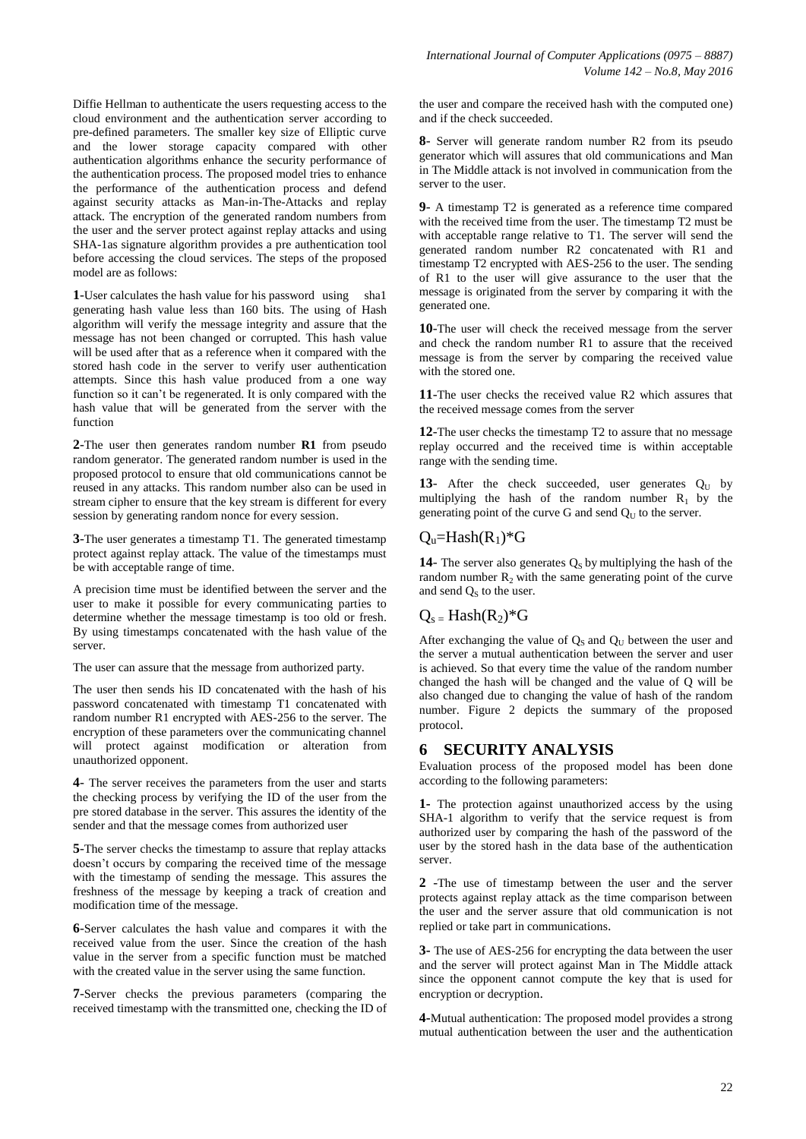Diffie Hellman to authenticate the users requesting access to the cloud environment and the authentication server according to pre-defined parameters. The smaller key size of Elliptic curve and the lower storage capacity compared with other authentication algorithms enhance the security performance of the authentication process. The proposed model tries to enhance the performance of the authentication process and defend against security attacks as Man-in-The-Attacks and replay attack. The encryption of the generated random numbers from the user and the server protect against replay attacks and using SHA-1as signature algorithm provides a pre authentication tool before accessing the cloud services. The steps of the proposed model are as follows:

**1**-User calculates the hash value for his password using sha1 generating hash value less than 160 bits. The using of Hash algorithm will verify the message integrity and assure that the message has not been changed or corrupted. This hash value will be used after that as a reference when it compared with the stored hash code in the server to verify user authentication attempts. Since this hash value produced from a one way function so it can't be regenerated. It is only compared with the hash value that will be generated from the server with the function

**2**-The user then generates random number **R1** from pseudo random generator. The generated random number is used in the proposed protocol to ensure that old communications cannot be reused in any attacks. This random number also can be used in stream cipher to ensure that the key stream is different for every session by generating random nonce for every session.

**3**-The user generates a timestamp T1. The generated timestamp protect against replay attack. The value of the timestamps must be with acceptable range of time.

A precision time must be identified between the server and the user to make it possible for every communicating parties to determine whether the message timestamp is too old or fresh. By using timestamps concatenated with the hash value of the server.

The user can assure that the message from authorized party.

The user then sends his ID concatenated with the hash of his password concatenated with timestamp T1 concatenated with random number R1 encrypted with AES-256 to the server. The encryption of these parameters over the communicating channel will protect against modification or alteration from unauthorized opponent.

**4**- The server receives the parameters from the user and starts the checking process by verifying the ID of the user from the pre stored database in the server. This assures the identity of the sender and that the message comes from authorized user

**5**-The server checks the timestamp to assure that replay attacks doesn't occurs by comparing the received time of the message with the timestamp of sending the message. This assures the freshness of the message by keeping a track of creation and modification time of the message.

**6**-Server calculates the hash value and compares it with the received value from the user. Since the creation of the hash value in the server from a specific function must be matched with the created value in the server using the same function.

**7**-Server checks the previous parameters (comparing the received timestamp with the transmitted one, checking the ID of the user and compare the received hash with the computed one) and if the check succeeded.

**8**- Server will generate random number R2 from its pseudo generator which will assures that old communications and Man in The Middle attack is not involved in communication from the server to the user.

**9**- A timestamp T2 is generated as a reference time compared with the received time from the user. The timestamp T2 must be with acceptable range relative to T1. The server will send the generated random number R2 concatenated with R1 and timestamp T2 encrypted with AES-256 to the user. The sending of R1 to the user will give assurance to the user that the message is originated from the server by comparing it with the generated one.

**10**-The user will check the received message from the server and check the random number R1 to assure that the received message is from the server by comparing the received value with the stored one.

**11**-The user checks the received value R2 which assures that the received message comes from the server

**12**-The user checks the timestamp T2 to assure that no message replay occurred and the received time is within acceptable range with the sending time.

13- After the check succeeded, user generates  $Q_U$  by multiplying the hash of the random number  $R_1$  by the generating point of the curve G and send  $Q<sub>U</sub>$  to the server.

## $Q_u=Hash(R_1)*G$

**14**- The server also generates  $Q_S$  by multiplying the hash of the random number  $R_2$  with the same generating point of the curve and send  $Q<sub>s</sub>$  to the user.

# $Q_s$  = Hash $(R_2)^*G$

After exchanging the value of  $Q_S$  and  $Q_U$  between the user and the server a mutual authentication between the server and user is achieved. So that every time the value of the random number changed the hash will be changed and the value of Q will be also changed due to changing the value of hash of the random number. Figure 2 depicts the summary of the proposed protocol.

## **6 SECURITY ANALYSIS**

Evaluation process of the proposed model has been done according to the following parameters:

**1-** The protection against unauthorized access by the using SHA-1 algorithm to verify that the service request is from authorized user by comparing the hash of the password of the user by the stored hash in the data base of the authentication server.

**2** -The use of timestamp between the user and the server protects against replay attack as the time comparison between the user and the server assure that old communication is not replied or take part in communications.

**3-** The use of AES-256 for encrypting the data between the user and the server will protect against Man in The Middle attack since the opponent cannot compute the key that is used for encryption or decryption.

**4-**Mutual authentication: The proposed model provides a strong mutual authentication between the user and the authentication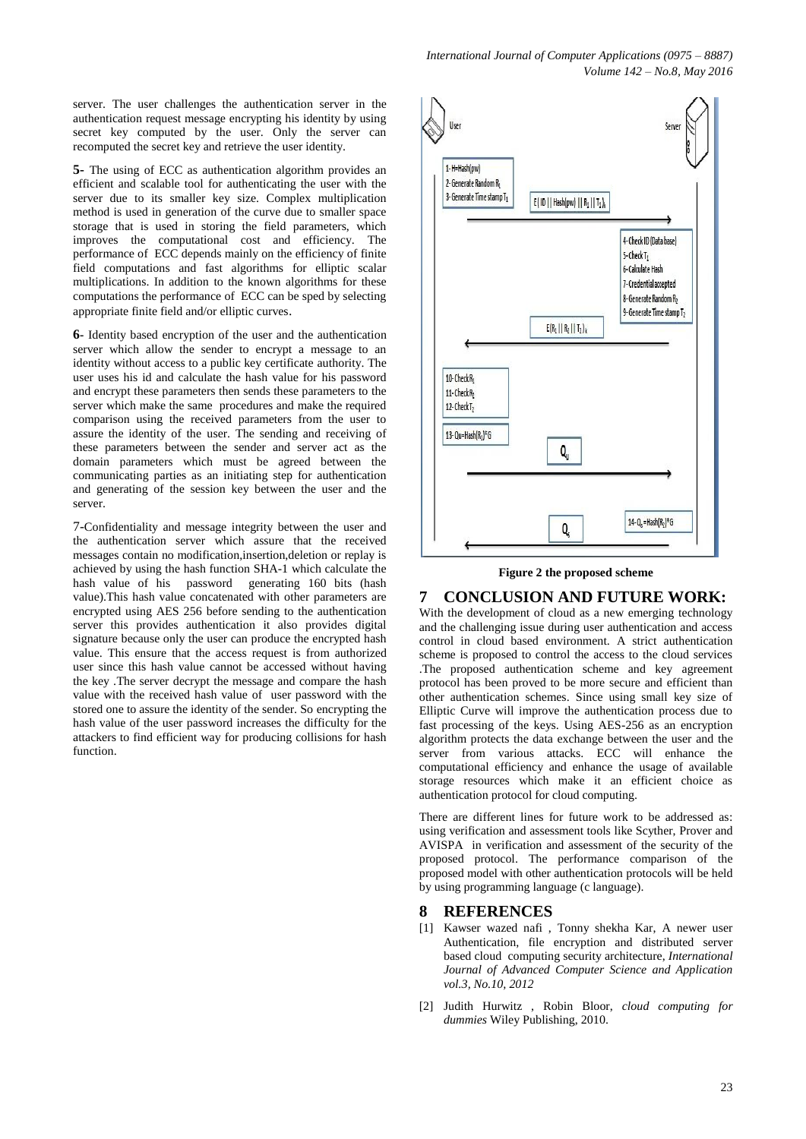server. The user challenges the authentication server in the authentication request message encrypting his identity by using secret key computed by the user. Only the server can recomputed the secret key and retrieve the user identity.

**5-** The using of ECC as authentication algorithm provides an efficient and scalable tool for authenticating the user with the server due to its smaller key size. Complex multiplication method is used in generation of the curve due to smaller space storage that is used in storing the field parameters, which improves the computational cost and efficiency. The performance of ECC depends mainly on the efficiency of finite field computations and fast algorithms for elliptic scalar multiplications. In addition to the known algorithms for these computations the performance of ECC can be sped by selecting appropriate finite field and/or elliptic curves.

**6-** Identity based encryption of the user and the authentication server which allow the sender to encrypt a message to an identity without access to a public key certificate authority. The user uses his id and calculate the hash value for his password and encrypt these parameters then sends these parameters to the server which make the same procedures and make the required comparison using the received parameters from the user to assure the identity of the user. The sending and receiving of these parameters between the sender and server act as the domain parameters which must be agreed between the communicating parties as an initiating step for authentication and generating of the session key between the user and the server.

7-Confidentiality and message integrity between the user and the authentication server which assure that the received messages contain no modification,insertion,deletion or replay is achieved by using the hash function SHA-1 which calculate the hash value of his password generating 160 bits (hash value).This hash value concatenated with other parameters are encrypted using AES 256 before sending to the authentication server this provides authentication it also provides digital signature because only the user can produce the encrypted hash value. This ensure that the access request is from authorized user since this hash value cannot be accessed without having the key .The server decrypt the message and compare the hash value with the received hash value of user password with the stored one to assure the identity of the sender. So encrypting the hash value of the user password increases the difficulty for the attackers to find efficient way for producing collisions for hash function.



**Figure 2 the proposed scheme**

**7 CONCLUSION AND FUTURE WORK:**

With the development of cloud as a new emerging technology and the challenging issue during user authentication and access control in cloud based environment. A strict authentication scheme is proposed to control the access to the cloud services .The proposed authentication scheme and key agreement protocol has been proved to be more secure and efficient than other authentication schemes. Since using small key size of Elliptic Curve will improve the authentication process due to fast processing of the keys. Using AES-256 as an encryption algorithm protects the data exchange between the user and the server from various attacks. ECC will enhance the computational efficiency and enhance the usage of available storage resources which make it an efficient choice as authentication protocol for cloud computing.

There are different lines for future work to be addressed as: using verification and assessment tools like Scyther, Prover and AVISPA in verification and assessment of the security of the proposed protocol. The performance comparison of the proposed model with other authentication protocols will be held by using programming language (c language).

#### **8 REFERENCES**

- [1] Kawser wazed nafi , Tonny shekha Kar, A newer user Authentication, file encryption and distributed server based cloud computing security architecture, *International Journal of Advanced Computer Science and Application vol.3, No.10, 2012*
- [2] Judith Hurwitz , Robin Bloor, *cloud computing for dummies* Wiley Publishing, 2010.